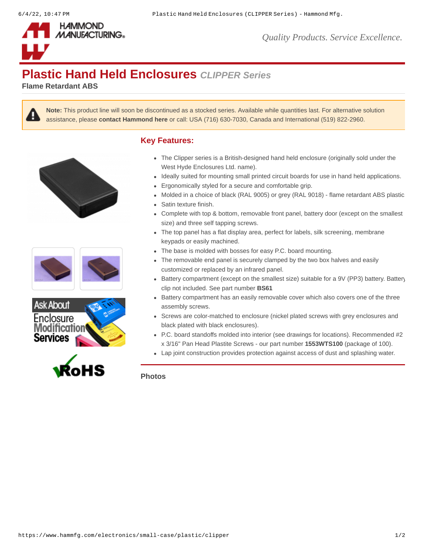

*Quality Products. Service Excellence.*

## **Plastic Hand Held Enclosures** *CLIPPER Series*

**Flame Retardant ABS**



**Note:** This product line will soon be discontinued as a stocked series. Available while quantities last. For alternative solution assistance, please **[contact Hammond here](https://www.hammfg.com/contact?referer=electronics&message=CLIPPER%20Series%20Alternative)** or call: USA (716) 630-7030, Canada and International (519) 822-2960.









## **Key Features:**

- The Clipper series is a British-designed hand held enclosure (originally sold under the West Hyde Enclosures Ltd. name).
- Ideally suited for mounting small printed circuit boards for use in hand held applications.
- Ergonomically styled for a secure and comfortable grip.
- Molded in a choice of black (RAL 9005) or grey (RAL 9018) flame retardant ABS plastic.
- Satin texture finish.
- Complete with top & bottom, removable front panel, battery door (except on the smallest size) and three self tapping screws.
- The top panel has a flat display area, perfect for labels, silk screening, membrane keypads or easily machined.
- The base is molded with bosses for easy P.C. board mounting.
- The removable end panel is securely clamped by the two box halves and easily customized or replaced by an infrared panel.
- Battery compartment (except on the smallest size) suitable for a 9V (PP3) battery. Battery clip not included. See part number **[BS61](https://www.hammfg.com/part/BS61)**
- Battery compartment has an easily removable cover which also covers one of the three assembly screws.
- Screws are color-matched to enclosure (nickel plated screws with grey enclosures and black plated with black enclosures).
- P.C. board standoffs molded into interior (see drawings for locations). Recommended #2 x 3/16" Pan Head Plastite Screws - our part number **[1553WTS100](https://www.hammfg.com/part/1553WTS100)** (package of 100).
- Lap joint construction provides protection against access of dust and splashing water.

**Photos**